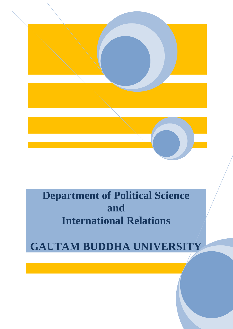

# **Department of Political Science and International Relations**

**GAUTAM BUDDHA UNIVERSITY**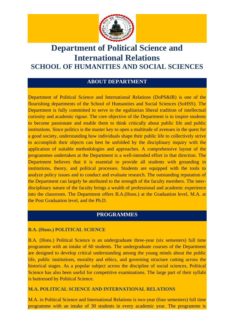

## **Department of Political Science and International Relations SCHOOL OF HUMANITIES AND SOCIAL SCIENCES**

#### **ABOUT DEPARTMENT**

Department of Political Science and International Relations (DoPS&IR) is one of the flourishing departments of the School of Humanities and Social Sciences (SoHSS). The Department is fully committed to serve to the egalitarian liberal tradition of intellectual curiosity and academic rigour. The core objective of the Department is to inspire students to become passionate and enable them to think critically about public life and public institutions. Since politics is the master key to open a multitude of avenues in the quest for a good society, understanding how individuals shape their public life to collectively strive to accomplish their objects can best be unfolded by the disciplinary inquiry with the application of suitable methodologies and approaches. A comprehensive layout of the programmes undertaken at the Department is a well-intended effort in that direction. The Department believes that it is essential to provide all students with grounding in institutions, theory, and political processes. Students are equipped with the tools to analyze policy issues and to conduct and evaluate research. The outstanding reputation of the Department can largely be attributed to the strength of the faculty members. The interdisciplinary nature of the faculty brings a wealth of professional and academic experience into the classroom. The Department offers B.A.(Hons.) at the Graduation level, M.A. at the Post Graduation level, and the Ph.D.

#### **PROGRAMMES**

#### **B.A. (Hons.) POLITICAL SCIENCE**

B.A. (Hons.) Political Science is an undergraduate three-year (six semesters) full time programme with an intake of 60 students. The undergraduate courses of the Department are designed to develop critical understanding among the young minds about the public life, public institutions, morality and ethics, and governing structure cutting across the historical stages. As a popular subject across the discipline of social sciences, Political Science has also been useful for competitive examinations. The large part of their syllabi is buttressed by Political Science.

#### **M.A. POLITICAL SCIENCE AND INTERNATIONAL RELATIONS**

M.A. in Political Science and International Relations is two-year (four semesters) full time programme with an intake of 30 students in every academic year. The programme is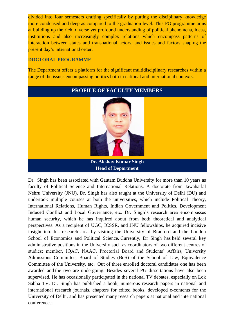divided into four semesters crafting specifically by putting the disciplinary knowledge more condensed and deep as compared to the graduation level. This PG programme aims at building up the rich, diverse yet profound understanding of political phenomena, ideas, institutions and also increasingly complex relations which encompass patterns of interaction between states and transnational actors, and issues and factors shaping the present day's international order.

#### **DOCTORAL PROGRAMME**

The Department offers a platform for the significant multidisciplinary researches within a range of the issues encompassing politics both in national and international contexts.

## **PROFILE OF FACULTY MEMBERS**



**Dr. Akshay Kumar Singh Head of Department**

Dr. Singh has been associated with Gautam Buddha University for more than 10 years as faculty of Political Science and International Relations. A doctorate from Jawaharlal Nehru University (JNU), Dr. Singh has also taught at the University of Delhi (DU) and undertook multiple courses at both the universities, which include Political Theory, International Relations, Human Rights, Indian Government and Politics, Development Induced Conflict and Local Governance, etc. Dr. Singh's research area encompasses human security, which he has inquired about from both theoretical and analytical perspectives. As a recipient of UGC, ICSSR, and JNU fellowships, he acquired incisive insight into his research area by visiting the University of Bradford and the London School of Economics and Political Science. Currently, Dr Singh has held several key administrative positions in the University such as coordinators of two different centres of studies; member, IQAC, NAAC, Proctorial Board and Students' Affairs, University Admissions Committee, Board of Studies (BoS) of the School of Law, Equivalence Committee of the University, etc. Out of three enrolled doctoral candidates one has been awarded and the two are undergoing. Besides several PG dissertations have also been supervised. He has occasionally participated in the national TV debates, especially on Lok Sabha TV. Dr. Singh has published a book, numerous research papers in national and international research journals, chapters for edited books, developed e-contents for the University of Delhi, and has presented many research papers at national and international conferences.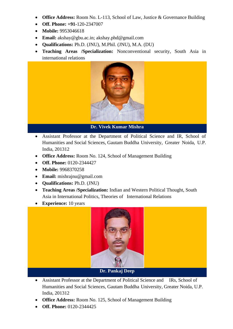- **Office Address:** Room No. L-113, School of Law, Justice & Governance Building
- **Off. Phone: +91-**120-2347007
- **Mobile:** 9953046618
- **Email:** [akshay@gbu.ac.in;](mailto:akshay@gbu.ac.in) akshay.phd@gmail.com
- **Qualifications:** Ph.D. (JNU), M.Phil. (JNU), M.A. (DU)
- **Teaching Areas /Specialization:** Nonconventional security, South Asia in international relations



- Assistant Professor at the Department of Political Science and IR, School of Humanities and Social Sciences, Gautam Buddha University, Greater Noida, U.P. India, 201312
- **Office Address:** Room No. 124, School of Management Building
- **Off. Phone:** 0120-2344427
- **Mobile:** 9968370258
- **Email:** mishrajnu@gmail.com
- **Qualifications:** Ph.D. (JNU)
- **Teaching Areas /Specialization:** Indian and Western Political Thought, South Asia in International Politics, Theories of International Relations
- **Experience:** 10 years



- Assistant Professor at the Department of Political Science and IRs, School of Humanities and Social Sciences, Gautam Buddha University, Greater Noida, U.P. India, 201312
- **Office Address:** Room No. 125, School of Management Building
- **Off. Phone:** 0120-2344425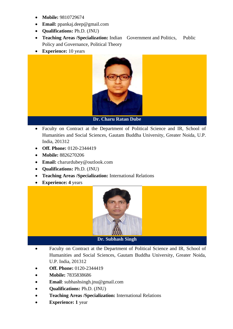- **Mobile:** 9810729674
- **Email:** ppankaj.deep@gmail.com
- **Qualifications:** Ph.D. (JNU)
- **Teaching Areas /Specialization:** Indian Government and Politics, Public Policy and Governance, Political Theory
- **Experience:** 10 years



- Faculty on Contract at the Department of Political Science and IR, School of Humanities and Social Sciences, Gautam Buddha University, Greater Noida, U.P. India, 201312
- **Off. Phone:** 0120-2344419
- **Mobile:** 8826270206
- **Email:** charurdubey@outlook.com
- **Qualifications:** Ph.D. (JNU)
- **Teaching Areas /Specialization:** International Relations
- **Experience: 4** years



**Dr. Subhash Singh**

- Faculty on Contract at the Department of Political Science and IR, School of Humanities and Social Sciences, Gautam Buddha University, Greater Noida, U.P. India, 201312
- **Off. Phone:** 0120-2344419
- **Mobile: 7835838686**
- **Email**: [subhashsingh.jnu@gmail.com](mailto:subhashsingh.jnu@gmail.com)
- **Qualifications:** Ph.D. (JNU)
- **Teaching Areas /Specialization:** International Relations
- **Experience: 1** year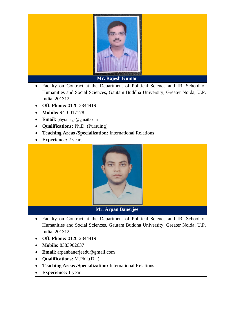

- Faculty on Contract at the Department of Political Science and IR, School of Humanities and Social Sciences, Gautam Buddha University, Greater Noida, U.P. India, 201312
- **Off. Phone:** 0120-2344419
- **Mobile:** 9410017178
- **Email:** [phyomega@gmail.com](mailto:phyomega@gmail.com)
- **Qualifications:** Ph.D. (Pursuing)
- **Teaching Areas /Specialization:** International Relations
- **Experience: 2** years



**Mr. Arpan Banerjee**

- Faculty on Contract at the Department of Political Science and IR, School of Humanities and Social Sciences, Gautam Buddha University, Greater Noida, U.P. India, 201312
- **Off. Phone:** 0120-2344419
- **Mobile:** 8383902637
- **Email**: arpanbanerjeedu@gmail.com
- **Qualifications:** M.Phil.(DU)
- **Teaching Areas /Specialization:** International Relations
- **Experience: 1** year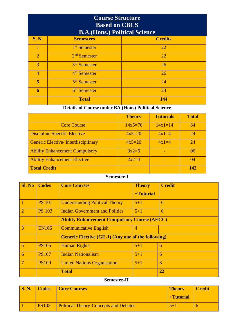| <b>Course Structure</b><br><b>Based on CBCS</b><br><b>B.A.</b> (Hons.) Political Science |                          |                |  |  |
|------------------------------------------------------------------------------------------|--------------------------|----------------|--|--|
| <b>S. N.</b>                                                                             | <b>Semesters</b>         | <b>Credits</b> |  |  |
|                                                                                          | 1 <sup>st</sup> Semester | 22             |  |  |
| $\overline{2}$                                                                           | $2nd$ Semester           | 22             |  |  |
| 3                                                                                        | 3 <sup>rd</sup> Semester | 26             |  |  |
| $\overline{4}$                                                                           | 4 <sup>th</sup> Semester | 26             |  |  |
| 5                                                                                        | 5 <sup>th</sup> Semester | 24             |  |  |
| 6                                                                                        | 6 <sup>th</sup> Semester | 24             |  |  |
|                                                                                          | <b>Total</b>             | 144            |  |  |

## **Details of Course under BA (Hons) Political Science**

|                                           | <b>Theory</b> | <b>Tutorials</b> | <b>Total</b> |
|-------------------------------------------|---------------|------------------|--------------|
| <b>Core Course</b>                        | $14x5=70$     | $14x1=14$        | 84           |
| <b>Discipline Specific Elective</b>       | $4x5=20$      | $4x1=4$          | 24           |
| <b>Generic Elective/Interdisciplinary</b> | $4x5=20$      | $4x1=4$          | 24           |
| <b>Ability Enhancement Compulsory</b>     | $3x2=6$       |                  | 06           |
| <b>Ability Enhancement Elective</b>       | $2x2=4$       |                  | 04           |
| <b>Total Credit</b>                       |               |                  | 142          |

#### **Semester-I**

| <b>Sl. No</b>  | <b>Codes</b>  | <b>Core Courses</b>                                       | <b>Theory</b>  | <b>Credit</b> |
|----------------|---------------|-----------------------------------------------------------|----------------|---------------|
|                |               |                                                           | +Tutorial      |               |
| T              | <b>PS 101</b> | <b>Understanding Political Theory</b>                     | $5 + 1$        | 6             |
| $\overline{2}$ | <b>PS 103</b> | <b>Indian Government and Politics</b>                     | $5 + 1$        | 6             |
|                |               | <b>Ability Enhancement Compulsory Course (AECC)</b>       |                |               |
| 3              | <b>EN105</b>  | <b>Communicative English</b>                              | $\overline{4}$ |               |
|                |               | <b>Generic Elective (GE-1) (Any one of the following)</b> |                |               |
| 5              | <b>PS105</b>  | <b>Human Rights</b>                                       | $5 + 1$        | 6             |
| 6              | <b>PS107</b>  | <b>Indian Nationalism</b>                                 | $5 + 1$        | 6             |
| 7              | <b>PS109</b>  | <b>United Nations Organisation</b>                        | $5 + 1$        | 6             |
|                |               | <b>Total</b>                                              |                | 22            |

#### **Semester-II**

| $\mathbf{S}$ . N. | Codes        | Core Courses                                 | <b>Theory</b> | <b>Credit</b> |
|-------------------|--------------|----------------------------------------------|---------------|---------------|
|                   |              |                                              | +Tutorial     |               |
|                   | <b>PS102</b> | <b>Political Theory-Concepts and Debates</b> |               |               |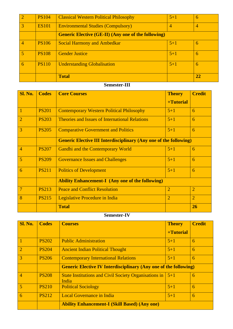|   | <b>PS104</b> | <b>Classical Western Political Philosophy</b>              | $5+1$          | 6  |
|---|--------------|------------------------------------------------------------|----------------|----|
| 3 | <b>ES101</b> | <b>Environmental Studies (Compulsory)</b>                  | $\overline{4}$ | 4  |
|   |              | <b>Generic Elective (GE-II) (Any one of the following)</b> |                |    |
| 4 | <b>PS106</b> | <b>Social Harmony and Ambedkar</b>                         | $5 + 1$        | 6  |
| 5 | <b>PS108</b> | <b>Gender Justice</b>                                      | $5 + 1$        | 6  |
| 6 | <b>PS110</b> | <b>Understanding Globalisation</b>                         | $5 + 1$        | 6  |
|   |              | <b>Total</b>                                               |                | 22 |

#### **Semester-III**

| <b>Sl. No.</b> | <b>Codes</b> | <b>Core Courses</b>                                                      | <b>Theory</b>  | <b>Credit</b>  |
|----------------|--------------|--------------------------------------------------------------------------|----------------|----------------|
|                |              |                                                                          | +Tutorial      |                |
| $\mathbf{1}$   | <b>PS201</b> | <b>Contemporary Western Political Philosophy</b>                         | $5 + 1$        | 6              |
| $\overline{2}$ | <b>PS203</b> | <b>Theories and Issues of International Relations</b>                    | $5 + 1$        | 6              |
| 3              | <b>PS205</b> | <b>Comparative Government and Politics</b>                               | $5 + 1$        | 6              |
|                |              | <b>Generic Elective III Interdisciplinary (Any one of the following)</b> |                |                |
| $\overline{4}$ | <b>PS207</b> | <b>Gandhi and the Contemporary World</b>                                 | $5 + 1$        | 6              |
| 5              | <b>PS209</b> | <b>Governance Issues and Challenges</b>                                  | $5 + 1$        | 6              |
| 6              | <b>PS211</b> | <b>Politics of Development</b>                                           | $5 + 1$        | 6              |
|                |              | <b>Ability Enhancement-I</b> (Any one of the following)                  |                |                |
| $\overline{7}$ | <b>PS213</b> | <b>Peace and Conflict Resolution</b>                                     | $\overline{2}$ | $\overline{2}$ |
| 8              | <b>PS215</b> | Legislative Procedure in India                                           | $\overline{2}$ | $\overline{2}$ |
|                |              | <b>Total</b>                                                             |                | 26             |

## **Semester-IV**

| <b>Sl. No.</b> | <b>Codes</b> | <b>Courses</b>                                                                     | <b>Theory</b> | <b>Credit</b> |
|----------------|--------------|------------------------------------------------------------------------------------|---------------|---------------|
|                |              |                                                                                    | +Tutorial     |               |
|                | <b>PS202</b> | <b>Public Administration</b>                                                       | $5 + 1$       | 6             |
| $\overline{2}$ | <b>PS204</b> | <b>Ancient Indian Political Thought</b>                                            | $5 + 1$       | 6             |
| 3              | <b>PS206</b> | <b>Contemporary International Relations</b>                                        | $5 + 1$       | 6             |
|                |              | <b>Generic Elective IV Interdisciplinary (Any one of the following)</b>            |               |               |
| $\overline{4}$ | <b>PS208</b> | State Institutions and Civil Society Organisations in $\vert 5+1 \rangle$<br>India |               | 6             |
| 5              | <b>PS210</b> | <b>Political Sociology</b>                                                         | $5 + 1$       | 6             |
| 6              | <b>PS212</b> | <b>Local Governance in India</b>                                                   | $5 + 1$       | 6             |
|                |              | <b>Ability Enhancement-I (Skill Based) (Any one)</b>                               |               |               |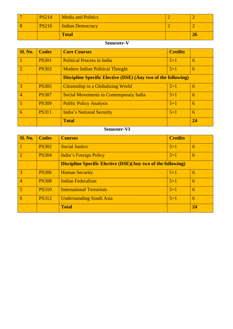|              | <b>Total</b>       | ΖŪ |
|--------------|--------------------|----|
| <b>PS216</b> | Indian Democracy   |    |
| PS2147       | Media and Politics |    |

## **Semester-V**

| Sl. No.         | <b>Codes</b> | <b>Core Courses</b>                                                  | <b>Credits</b> |    |
|-----------------|--------------|----------------------------------------------------------------------|----------------|----|
| $\vert$ 1       | <b>PS301</b> | <b>Political Process in India</b>                                    | $5 + 1$        | 6  |
| $\vert 2 \vert$ | <b>PS303</b> | <b>Modern Indian Political Thought</b>                               | $5 + 1$        | 6  |
|                 |              | <b>Discipline Specific Elective (DSE) (Any two of the following)</b> |                |    |
| $\vert 3 \vert$ | <b>PS305</b> | Citizenship in a Globalizing World                                   | $5 + 1$        | 6  |
| 4               | <b>PS307</b> | <b>Social Movements in Contemporary India</b>                        | $5 + 1$        | 6  |
| 5               | <b>PS309</b> | <b>Public Policy Analysis</b>                                        | $5 + 1$        | 6  |
| $6\overline{6}$ | <b>PS311</b> | <b>India's National Security</b>                                     | $5 + 1$        | 6  |
|                 |              | <b>Total</b>                                                         |                | 24 |

## **Semester-VI**

| <b>Sl. No.</b> | <b>Codes</b> | <b>Courses</b>                                                      | <b>Credits</b> |    |
|----------------|--------------|---------------------------------------------------------------------|----------------|----|
|                | <b>PS302</b> | <b>Social Justice</b>                                               | $5 + 1$        | 6  |
| $\overline{2}$ | <b>PS304</b> | India's Foreign Policy                                              | $5 + 1$        | 6  |
|                |              | <b>Discipline Specific Elective (DSE)(Any two of the following)</b> |                |    |
| 3              | <b>PS306</b> | <b>Human Security</b>                                               | $5 + 1$        | 6  |
| $\overline{4}$ | <b>PS308</b> | <b>Indian Federalism</b>                                            | $5+1$          | 6  |
| 5              | <b>PS310</b> | <b>International Terrorism</b>                                      | $5 + 1$        | 6  |
| 6              | <b>PS312</b> | <b>Understanding South Asia</b>                                     | $5 + 1$        | 6  |
|                |              | <b>Total</b>                                                        |                | 24 |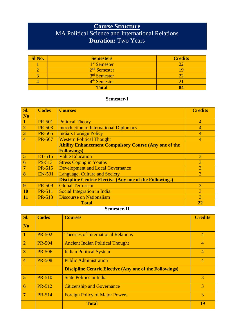## **Course Structure** MA Political Science and International Relations **Duration:** Two Years

| Sl No. | <b>Semesters</b>         | <b>Credits</b> |
|--------|--------------------------|----------------|
|        | 1 <sup>st</sup> Semester |                |
|        | 2 <sup>nd</sup> Semester | ı c            |
|        | 3rd Semester             |                |
|        | 4 <sup>th</sup> Semester |                |
|        | <b>Total</b>             |                |

#### **Semester-I**

| Sl.                     | <b>Codes</b>  | <b>Courses</b>                                                 | <b>Credits</b>           |
|-------------------------|---------------|----------------------------------------------------------------|--------------------------|
| <b>No</b>               |               |                                                                |                          |
|                         | <b>PR-501</b> | <b>Political Theory</b>                                        | $\overline{4}$           |
| $\overline{2}$          | <b>PR-503</b> | <b>Introduction to International Diplomacy</b>                 | 4                        |
| 3                       | <b>PR-505</b> | India's Foreign Policy                                         | 4                        |
| $\overline{\mathbf{4}}$ | <b>PR-507</b> | <b>Western Political Thought</b>                               | $\overline{\mathcal{A}}$ |
|                         |               | <b>Ability Enhancement Compulsory Course (Any one of the</b>   |                          |
|                         |               | <b>Followings)</b>                                             |                          |
| $\overline{5}$          | $ET-515$      | <b>Value Education</b>                                         | 3                        |
| 6                       | PS-513        | <b>Stress Coping in Youths</b>                                 | 3                        |
| $\overline{7}$          | <b>PR-515</b> | <b>Development and Local Governance</b>                        | 3                        |
| 8                       | <b>EN-531</b> | <b>Language, Culture and Society</b>                           | 3                        |
|                         |               | <b>Discipline Centric Elective (Any one of the Followings)</b> |                          |
| 9                       | <b>PR-509</b> | <b>Global Terrorism</b>                                        | 3                        |
| <b>10</b>               | <b>PR-511</b> | Social Integration in India                                    | 3                        |
| 11                      | <b>PR-513</b> | <b>Discourse on Nationalism</b>                                | 3                        |
|                         |               | <b>Total</b>                                                   | 22                       |

#### **Semester-II**

| Sl.                     | <b>Codes</b>  | <b>Courses</b>                                                 | <b>Credits</b> |
|-------------------------|---------------|----------------------------------------------------------------|----------------|
| <b>No</b>               |               |                                                                |                |
| $\mathbf{1}$            | <b>PR-502</b> | <b>Theories of International Relations</b>                     | $\overline{4}$ |
| $\overline{2}$          | <b>PR-504</b> | <b>Ancient Indian Political Thought</b>                        | $\overline{4}$ |
| 3                       | <b>PR-506</b> | <b>Indian Political System</b>                                 | $\overline{4}$ |
| $\overline{\mathbf{4}}$ | <b>PR-508</b> | <b>Public Administration</b>                                   | $\overline{4}$ |
|                         |               | <b>Discipline Centric Elective (Any one of the Followings)</b> |                |
| 5                       | <b>PR-510</b> | <b>State Politics in India</b>                                 | 3              |
| 6                       | <b>PR-512</b> | <b>Citizenship and Governance</b>                              | 3              |
| $\overline{7}$          | <b>PR-514</b> | <b>Foreign Policy of Major Powers</b>                          | 3              |
|                         |               | <b>Total</b>                                                   | 19             |